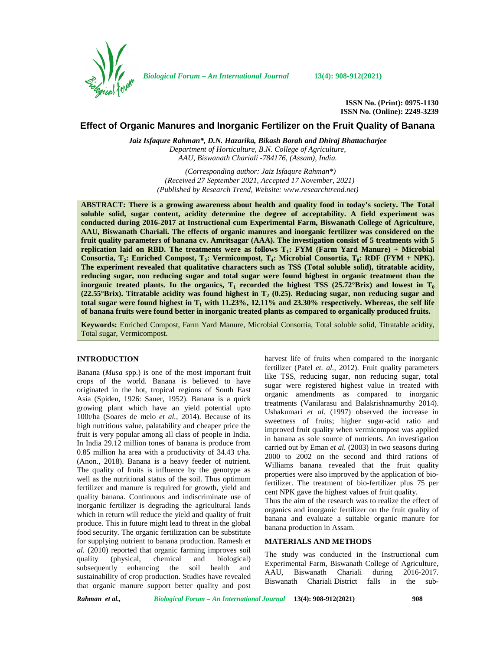

*Biological Forum – An International Journal* **13(4): 908-912(2021)**

**ISSN No. (Print): 0975-1130 ISSN No. (Online): 2249-3239**

# **Effect of Organic Manures and Inorganic Fertilizer on the Fruit Quality of Banana**

*Jaiz Isfaqure Rahman\*, D.N. Hazarika, Bikash Borah and Dhiraj Bhattacharjee Department of Horticulture, B.N. College of Agriculture, AAU, Biswanath Chariali -784176, (Assam), India.*

> *(Corresponding author: Jaiz Isfaqure Rahman\*) (Received 27 September 2021, Accepted 17 November, 2021) (Published by Research Trend, Website: <www.researchtrend.net>)*

**ABSTRACT: There is a growing awareness about health and quality food in today's society. The Total soluble solid, sugar content, acidity determine the degree of acceptability. A field experiment was conducted during 2016-2017 at Instructional cum Experimental Farm, Biswanath College of Agriculture, AAU, Biswanath Chariali. The effects of organic manures and inorganic fertilizer was considered on the fruit quality parameters of banana cv. Amritsagar (AAA). The investigation consist of 5 treatments with 5 replication laid on RBD. The treatments were as follows T1: FYM (Farm Yard Manure) + Microbial Consortia, T2: Enriched Compost, T3: Vermicompost, T4: Microbial Consortia, T0: RDF (FYM + NPK). The experiment revealed that qualitative characters such as TSS (Total soluble solid), titratable acidity, reducing sugar, non reducing sugar and total sugar were found highest in organic treatment than the inorganic treated plants. In the organics,**  $T_1$  **recorded the highest TSS (25.72°Brix) and lowest in**  $T_0$ **(22.55°Brix). Titratable acidity was found highest in T<sup>2</sup> (0.25). Reducing sugar, non reducing sugar and total sugar were found highest in T<sup>1</sup> with 11.23%, 12.11% and 23.30% respectively. Whereas, the self life of banana fruits were found better in inorganic treated plants as compared to organically produced fruits.**

**Keywords:** Enriched Compost, Farm Yard Manure, Microbial Consortia, Total soluble solid, Titratable acidity, Total sugar, Vermicompost.

# **INTRODUCTION**

Banana (*Musa* spp.) is one of the most important fruit crops of the world. Banana is believed to have originated in the hot, tropical regions of South East Asia (Spiden, 1926: Sauer, 1952). Banana is a quick growing plant which have an yield potential upto 100t/ha (Soares de melo *et al.,* 2014). Because of its high nutritious value, palatability and cheaper price the fruit is very popular among all class of people in India. In India 29.12 million tones of banana is produce from 0.85 million ha area with a productivity of 34.43 t/ha. (Anon., 2018). Banana is a heavy feeder of nutrient. The quality of fruits is influence by the genotype as well as the nutritional status of the soil. Thus optimum fertilizer and manure is required for growth, yield and quality banana. Continuous and indiscriminate use of inorganic fertilizer is degrading the agricultural lands which in return will reduce the yield and quality of fruit produce. This in future might lead to threat in the global food security. The organic fertilization can be substitute for supplying nutrient to banana production. Ramesh *et al.* (2010) reported that organic farming improves soil quality (physical, chemical and biological) subsequently enhancing the soil health and sustainability of crop production. Studies have revealed that organic manure support better quality and post

harvest life of fruits when compared to the inorganic fertilizer (Patel *et. al.,* 2012). Fruit quality parameters like TSS, reducing sugar, non reducing sugar, total sugar were registered highest value in treated with organic amendments as compared to inorganic treatments (Vanilarasu and Balakrishnamurthy 2014). Ushakumari *et al*. (1997) observed the increase in sweetness of fruits; higher sugar-acid ratio and improved fruit quality when vermicompost was applied in banana as sole source of nutrients. An investigation carried out by Eman *et al.* (2003) in two seasons during 2000 to 2002 on the second and third rations of Williams banana revealed that the fruit quality properties were also improved by the application of biofertilizer. The treatment of bio-fertilizer plus 75 per cent NPK gave the highest values of fruit quality.

Thus the aim of the research was to realize the effect of organics and inorganic fertilizer on the fruit quality of banana and evaluate a suitable organic manure for banana production in Assam.

# **MATERIALS AND METHODS**

The study was conducted in the Instructional cum Experimental Farm, Biswanath College of Agriculture,<br>AAU, Biswanath Chariali during 2016-2017. AAU, Biswanath Chariali Biswanath Chariali District falls in the sub-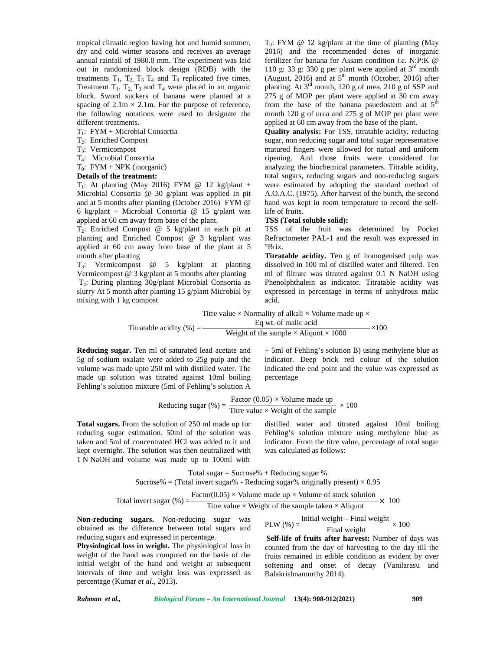tropical climatic region having hot and humid summer, dry and cold winter seasons and receives an average annual rainfall of 1980.0 mm. The experiment was laid out in randomized block design (RDB) with the treatments  $T_1$ ,  $T_2$ ,  $T_3$ ,  $T_4$  and  $T_0$  replicated five times. Treatment  $T_1$ ,  $T_2$ ,  $T_3$  and  $T_4$  were placed in an organic block. Sword suckers of banana were planted at a spacing of  $2.1m \times 2.1m$ . For the purpose of reference, the following notations were used to designate the different treatments.

- $T_1$ : FYM + Microbial Consortia
- T2: Enriched Compost
- T3: Vermicompost
- T4: Microbial Consortia
- $T_0$ : FYM + NPK (inorganic)

## **Details of the treatment:**

 $T_1$ : At planting (May 2016) FYM @ 12 kg/plant + Microbial Consortia @ 30 g/plant was applied in pit and at 5 months after planting (October 2016) FYM @ 6 kg/plant + Microbial Consortia @ 15 g/plant was applied at 60 cm away from base of the plant.

 $T_2$ : Enriched Compost @ 5 kg/plant in each pit at planting and Enriched Compost @ 3 kg/plant was applied at 60 cm away from base of the plant at 5 month after planting

T3: Vermicompost @ 5 kg/plant at planting Vermicompost @ 3 kg/plant at 5 months after planting T4: During planting 30g/plant Microbial Consortia as slurry At 5 month after planting 15 g/plant Microbial by mixing with 1 kg compost

 $T_0$ : FYM @ 12 kg/plant at the time of planting (May 2016) and the recommended doses of inorganic fertilizer for banana for Assam condition *i.e.* N:P:K @ 110 g: 33 g: 330 g per plant were applied at  $3<sup>rd</sup>$  month (August, 2016) and at  $5<sup>th</sup>$  month (October, 2016) after planting. At  $3<sup>rd</sup>$  month, 120 g of urea, 210 g of SSP and 275 g of MOP per plant were applied at 30 cm away from the base of the banana psuedostem and at  $5<sup>th</sup>$ month 120 g of urea and 275 g of MOP per plant were applied at 60 cm away from the base of the plant.

**Quality analysis:** For TSS, titratable acidity, reducing sugar, non reducing sugar and total sugar representative matured fingers were allowed for natual and uniform ripening. And those fruits were considered for analyzing the biochemical parameters. Titrable acidity, total sugars, reducing sugars and non-reducing sugars were estimated by adopting the standard method of A.O.A.C. (1975). After harvest of the bunch, the second hand was kept in room temperature to record the selflife of fruits.

#### **TSS (Total soluble solid):**

TSS of the fruit was determined by Pocket Refractometer PAL-1 and the result was expressed in °Brix.

**Titratable acidity.** Ten g of homogenised pulp was dissolved in 100 ml of distilled water and filtered. Ten ml of filtrate was titrated against 0.1 N NaOH using Phenolphthalein as indicator. Titratable acidity was expressed in percentage in terms of anhydrous malic acid.

Titre value  $\times$  Normality of alkali  $\times$  Volume made up  $\times$ 

Titratable acidity (%) = 
$$
\frac{\text{Eq wt. of malic acid}}{\text{Weight of the sample} \times \text{Aliquot} \times 1000} \times 100
$$

**Reducing sugar.** Ten ml of saturated lead acetate and 5g of sodium oxalate were added to 25g pulp and the volume was made upto 250 ml with distilled water. The made up solution was titrated against 10ml boiling Fehling's solution mixture (5ml of Fehling's solution A

+ 5ml of Fehling's solution B) using methylene blue as indicator. Deep brick red colour of the solution indicated the end point and the value was expressed as percentage

Reducing sugar (%) = 
$$
\frac{\text{Factor (0.05)} \times \text{Volume made up}}{\text{Titre value} \times \text{Weight of the sample}} \times 100
$$

**Total sugars.** From the solution of 250 ml made up for reducing sugar estimation. 50ml of the solution was taken and 5ml of concentrated HCl was added to it and kept overnight. The solution was then neutralized with 1 N NaOH and volume was made up to 100ml with distilled water and titrated against 10ml boiling Fehling's solution mixture using methylene blue as indicator. From the titre value, percentage of total sugar was calculated as follows:

Total sugar  $=$  Sucrose%  $+$  Reducing sugar % Sucrose% = (Total invert sugar% - Reducing sugar% originally present)  $\times$  0.95

Total invert sugar (
$$
\%
$$
) =  $\frac{\text{Factor}(0.05) \times \text{Volume made up} \times \text{Volume of stock solution}}{\text{Titre value} \times \text{Weight of the sample taken} \times \text{Aliquot}} \times 100$ 

**Non-reducing sugars.** Non-reducing sugar was obtained as the difference between total sugars and reducing sugars and expressed in percentage.

**Physiological loss in weight.** The physiological loss in weight of the hand was computed on the basis of the initial weight of the hand and weight at subsequent intervals of time and weight loss was expressed as percentage (Kumar *et al*., 2013).

PLW (%) =  $\frac{\text{Initial weight} - \text{Final weight}}{\text{Final weight}} \times 100$ **Self-life of fruits after harvest:** Number of days was

counted from the day of harvesting to the day till the fruits remained in edible condition as evident by over softening and onset of decay (Vanilarasu and Balakrishnamurthy 2014).

*Rahman et al., Biological Forum – An International Journal* **13(4): 908-912(2021) 909**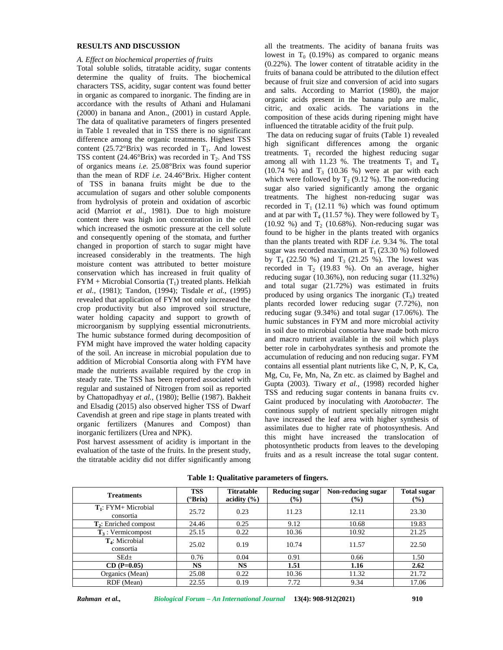## **RESULTS AND DISCUSSION**

## *A. Effect on biochemical properties of fruits*

Total soluble solids, titratable acidity, sugar contents determine the quality of fruits. The biochemical characters TSS, acidity, sugar content was found better in organic as compared to inorganic. The finding are in accordance with the results of Athani and Hulamani (2000) in banana and Anon., (2001) in custard Apple. The data of qualitative parameters of fingers presented in Table 1 revealed that in TSS there is no significant difference among the organic treatments. Highest TSS content (25.72°Brix) was recorded in  $T_1$ . And lowest TSS content (24.46 $\textdegree$ Brix) was recorded in T<sub>2</sub>. And TSS of organics means *i.e.* 25.08°Brix was found superior than the mean of RDF *i.e.* 24.46°Brix. Higher content of TSS in banana fruits might be due to the accumulation of sugars and other soluble components from hydrolysis of protein and oxidation of ascorbic acid (Marriot *et al*., 1981). Due to high moisture content there was high ion concentration in the cell which increased the osmotic pressure at the cell solute and consequently opening of the stomata, and further changed in proportion of starch to sugar might have increased considerably in the treatments. The high moisture content was attributed to better moisture conservation which has increased in fruit quality of  $FYM + Microbial Consortia(T<sub>1</sub>)$  treated plants. Helkiah *et al.*, (1981); Tandon, (1994); Tisdale *et al.*, (1995) revealed that application of FYM not only increased the crop productivity but also improved soil structure, water holding capacity and support to growth of microorganism by supplying essential micronutrients. The humic substance formed during decomposition of FYM might have improved the water holding capacity of the soil. An increase in microbial population due to addition of Microbial Consortia along with FYM have made the nutrients available required by the crop in steady rate. The TSS has been reported associated with regular and sustained of Nitrogen from soil as reported by Chattopadhyay *et al.,* (1980); Bellie (1987). Bakheit and Elsadig (2015) also observed higher TSS of Dwarf Cavendish at green and ripe stage in plants treated with organic fertilizers (Manures and Compost) than inorganic fertilizers (Urea and NPK).

Post harvest assessment of acidity is important in the evaluation of the taste of the fruits. In the present study, the titratable acidity did not differ significantly among all the treatments. The acidity of banana fruits was lowest in  $T_0$  (0.19%) as compared to organic means (0.22%). The lower content of titratable acidity in the fruits of banana could be attributed to the dilution effect because of fruit size and conversion of acid into sugars and salts. According to Marriot (1980), the major organic acids present in the banana pulp are malic, citric, and oxalic acids. The variations in the composition of these acids during ripening might have influenced the titratable acidity of the fruit pulp.

The data on reducing sugar of fruits (Table 1) revealed high significant differences among the organic treatments.  $T_1$  recorded the highest reducing sugar among all with 11.23 %. The treatments  $T_1$  and  $T_4$  $(10.74 \%)$  and  $T_3$   $(10.36 \%)$  were at par with each which were followed by  $T_2$  (9.12 %). The non-reducing sugar also varied significantly among the organic treatments. The highest non-reducing sugar was recorded in  $T_1$  (12.11 %) which was found optimum and at par with  $T_4$  (11.57 %). They were followed by  $T_3$ (10.92 %) and  $T_2$  (10.68%). Non-reducing sugar was found to be higher in the plants treated with organics than the plants treated with RDF *i.e.* 9.34 %. The total sugar was recorded maximum at  $T_1$  (23.30 %) followed by  $T_4$  (22.50 %) and  $T_3$  (21.25 %). The lowest was recorded in  $T<sub>2</sub>$  (19.83 %). On an average, higher reducing sugar (10.36%), non reducing sugar (11.32%) and total sugar (21.72%) was estimated in fruits produced by using organics The inorganic  $(T_0)$  treated plants recorded lower reducing sugar (7.72%), non reducing sugar (9.34%) and total sugar (17.06%). The humic substances in FYM and more microbial activity in soil due to microbial consortia have made both micro and macro nutrient available in the soil which plays better role in carbohydrates synthesis and promote the accumulation of reducing and non reducing sugar. FYM contains all essential plant nutrients like C, N, P, K, Ca, Mg, Cu, Fe, Mn, Na, Zn etc. as claimed by Baghel and Gupta (2003). Tiwary *et al.,* (1998) recorded higher TSS and reducing sugar contents in banana fruits cv. Gaint produced by inoculating with *Azotobacter*. The continous supply of nutrient specially nitrogen might have increased the leaf area with higher synthesis of assimilates due to higher rate of photosynthesis. And this might have increased the translocation of photosynthetic products from leaves to the developing fruits and as a result increase the total sugar content.

| <b>Treatments</b>                       | <b>TSS</b><br><sup>o</sup> Brix) | <b>Titratable</b><br>acidity $(\% )$ | <b>Reducing sugar</b><br>$(\%)$ | Non-reducing sugar<br>(%) | <b>Total sugar</b><br>(%) |
|-----------------------------------------|----------------------------------|--------------------------------------|---------------------------------|---------------------------|---------------------------|
| $T_1$ : FYM+ Microbial<br>consortia     | 25.72                            | 0.23                                 | 11.23                           | 12.11                     | 23.30                     |
| $T_2$ : Enriched compost                | 24.46                            | 0.25                                 | 9.12                            | 10.68                     | 19.83                     |
| $T_3$ : Vermicompost                    | 25.15                            | 0.22                                 | 10.36                           | 10.92                     | 21.25                     |
| T <sub>4</sub> : Microbial<br>consortia | 25.02                            | 0.19                                 | 10.74                           | 11.57                     | 22.50                     |
| $SEd\pm$                                | 0.76                             | 0.04                                 | 0.91                            | 0.66                      | 1.50                      |
| $CD (P=0.05)$                           | <b>NS</b>                        | <b>NS</b>                            | 1.51                            | 1.16                      | 2.62                      |
| Organics (Mean)                         | 25.08                            | 0.22                                 | 10.36                           | 11.32                     | 21.72                     |
| RDF (Mean)                              | 22.55                            | 0.19                                 | 7.72                            | 9.34                      | 17.06                     |

**Table 1: Qualitative parameters of fingers.**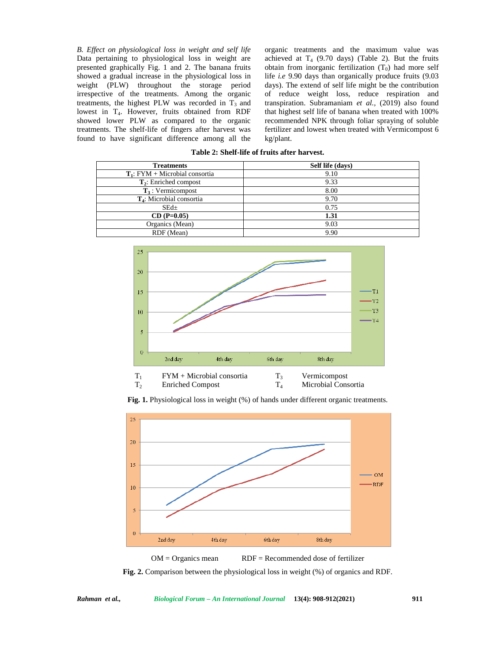*B. Effect on physiological loss in weight and self life* Data pertaining to physiological loss in weight are presented graphically Fig.1 and 2. The banana fruits showed a gradual increase in the physiological loss in weight (PLW) throughout the storage period irrespective of the treatments. Among the organic treatments, the highest PLW was recorded in  $T_3$  and lowest in T<sub>4</sub>. However, fruits obtained from RDF showed lower PLW as compared to the organic treatments. The shelf-life of fingers after harvest was found to have significant difference among all the

organic treatments and the maximum value was achieved at  $T_4$  (9.70 days) (Table 2). But the fruits obtain from inorganic fertilization  $(T_0)$  had more self life *i.e* 9.90 days than organically produce fruits (9.03 days). The extend of self life might be the contribution of reduce weight loss, reduce respiration and transpiration. Subramaniam *et al.,* (2019) also found that highest self life of banana when treated with 100% recommended NPK through foliar spraying of soluble fertilizer and lowest when treated with Vermicompost 6 kg/plant.

| <b>Treatments</b>                 | Self life (days) |  |  |
|-----------------------------------|------------------|--|--|
| $T_1$ : FYM + Microbial consortia | 9.10             |  |  |
| $\mathbf{T}_2$ : Enriched compost | 9.33             |  |  |
| $T_3$ : Vermicompost              | 8.00             |  |  |
| $T_4$ : Microbial consortia       | 9.70             |  |  |
| $SEd\pm$                          | 0.75             |  |  |
| $CD (P=0.05)$                     | 1.31             |  |  |
| Organics (Mean)                   | 9.03             |  |  |
| RDF (Mean)                        | 9.90             |  |  |
|                                   |                  |  |  |

**Table 2: Shelf-life of fruits after harvest.**



**Fig. 1.** Physiological loss in weight (%) of hands under different organic treatments.